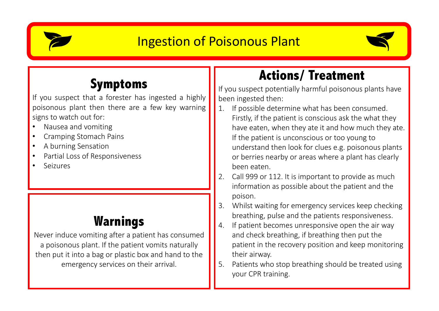

### **Ingestion of Poisonous Plant**



### **Symptoms**

If you suspect that a forester has ingested a highly poisonous plant then there are a few key warning signs to watch out for:

- Nausea and vomiting
- Cramping Stomach Pains
- A burning Sensation
- Partial Loss of Responsiveness
- Seizures

## **Warnings**

Never induce vomiting after a patient has consumed a poisonous plant. If the patient vomits naturally then put it into a bag or plastic box and hand to the emergency services on their arrival.

## **Actions/ Treatment**

If you suspect potentially harmful poisonous plants have been ingested then:

- If possible determine what has been consumed. Firstly, if the patient is conscious ask the what they have eaten, when they ate it and how much they ate. If the patient is unconscious or too young to understand then look for clues e.g. poisonous plants or berries nearby or areas where a plant has clearly been eaten.
- 2. Call 999 or 112. It is important to provide as much information as possible about the patient and the poison.
- 3. Whilst waiting for emergency services keep checking breathing, pulse and the patients responsiveness.
- 4. If patient becomes unresponsive open the air way and check breathing, if breathing then put the patient in the recovery position and keep monitoring their airway.
- 5. Patients who stop breathing should be treated using vour CPR training.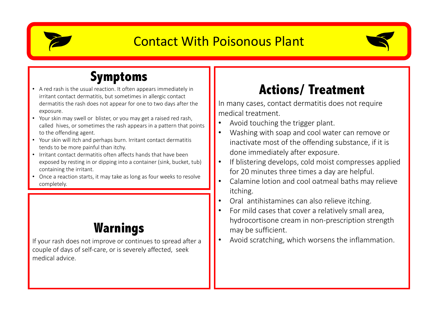

#### **Contact With Poisonous Plant**



#### **Symptoms**

- A red rash is the usual reaction. It often appears immediately in irritant contact dermatitis, but sometimes in allergic contact dermatitis the rash does not appear for one to two days after the exposure.
- Your skin may swell or blister, or you may get a raised red rash, called hives, or sometimes the rash appears in a pattern that points to the offending agent.
- Your skin will itch and perhaps burn. Irritant contact dermatitis tends to be more painful than itchy.
- Irritant contact dermatitis often affects hands that have been exposed by resting in or dipping into a container (sink, bucket, tub) containing the irritant.
- Once a reaction starts, it may take as long as four weeks to resolve completely.

#### **Warnings**

If your rash does not improve or continues to spread after a couple of days of self-care, or is severely affected, seek medical advice.

## **Actions/ Treatment**

In many cases, contact dermatitis does not require medical treatment.

- Avoid touching the trigger plant.
- Washing with soap and cool water can remove or inactivate most of the offending substance, if it is done immediately after exposure.
- If blistering develops, cold moist compresses applied for 20 minutes three times a day are helpful.
- Calamine lotion and cool oatmeal baths may relieve itching.
- Oral antihistamines can also relieve itching.
- For mild cases that cover a relatively small area, hydrocortisone cream in non-prescription strength may be sufficient.
- Avoid scratching, which worsens the inflammation.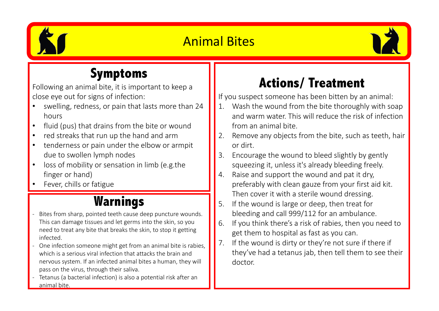

## **Animal Bites**



#### **Symptoms**

Following an animal bite, it is important to keep a close eye out for signs of infection:

- swelling, redness, or pain that lasts more than 24 hours
- fluid (pus) that drains from the bite or wound
- red streaks that run up the hand and arm
- tenderness or pain under the elbow or armpit due to swollen lymph nodes
- loss of mobility or sensation in limb (e.g.the finger or hand)
- Fever, chills or fatigue

### **Warnings**

- Bites from sharp, pointed teeth cause deep puncture wounds. This can damage tissues and let germs into the skin, so you need to treat any bite that breaks the skin, to stop it getting infected.
- One infection someone might get from an animal bite is rabies, which is a serious viral infection that attacks the brain and nervous system. If an infected animal bites a human, they will pass on the virus, through their saliva.
- Tetanus (a bacterial infection) is also a potential risk after an animal bite.

# **Actions/ Treatment**

If you suspect someone has been bitten by an animal:

- 1. Wash the wound from the bite thoroughly with soap and warm water. This will reduce the risk of infection from an animal bite.
- 2. Remove any objects from the bite, such as teeth, hair or dirt.
- 3. Encourage the wound to bleed slightly by gently squeezing it, unless it's already bleeding freely.
- 4. Raise and support the wound and pat it dry, preferably with clean gauze from your first aid kit. Then cover it with a sterile wound dressing.
- 5. If the wound is large or deep, then treat for bleeding and call 999/112 for an ambulance.
- 6. If you think there's a risk of rabies, then you need to get them to hospital as fast as you can.
- 7. If the wound is dirty or they're not sure if there if they've had a tetanus jab, then tell them to see their doctor.